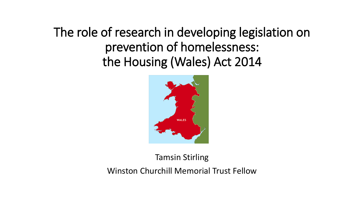The role of research in developing legislation on prevention of homelessness: the Housing (Wales) Act 2014



#### Tamsin Stirling

Winston Churchill Memorial Trust Fellow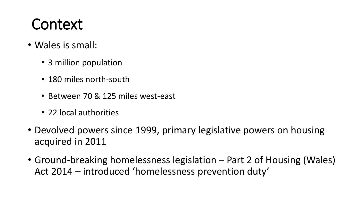### Context

- Wales is small:
	- 3 million population
	- 180 miles north-south
	- Between 70 & 125 miles west-east
	- 22 local authorities
- Devolved powers since 1999, primary legislative powers on housing acquired in 2011
- Ground-breaking homelessness legislation Part 2 of Housing (Wales) Act 2014 – introduced 'homelessness prevention duty'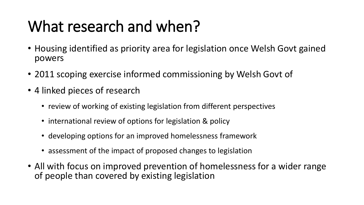## What research and when?

- Housing identified as priority area for legislation once Welsh Govt gained powers
- 2011 scoping exercise informed commissioning by Welsh Govt of
- 4 linked pieces of research
	- review of working of existing legislation from different perspectives
	- international review of options for legislation & policy
	- developing options for an improved homelessness framework
	- assessment of the impact of proposed changes to legislation
- All with focus on improved prevention of homelessness for a wider range of people than covered by existing legislation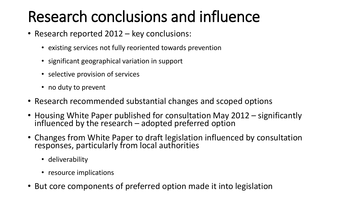## Research conclusions and influence

- Research reported 2012 key conclusions:
	- existing services not fully reoriented towards prevention
	- significant geographical variation in support
	- selective provision of services
	- no duty to prevent
- Research recommended substantial changes and scoped options
- Housing White Paper published for consultation May 2012 significantly influenced by the research – adopted preferred option
- Changes from White Paper to draft legislation influenced by consultation responses, particularly from local authorities
	- deliverability
	- resource implications
- But core components of preferred option made it into legislation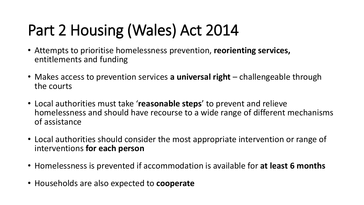# Part 2 Housing (Wales) Act 2014

- Attempts to prioritise homelessness prevention, **reorienting services,**  entitlements and funding
- Makes access to prevention services **a universal right** challengeable through the courts
- Local authorities must take '**reasonable steps**' to prevent and relieve homelessness and should have recourse to a wide range of different mechanisms of assistance
- Local authorities should consider the most appropriate intervention or range of interventions **for each person**
- Homelessness is prevented if accommodation is available for **at least 6 months**
- Households are also expected to **cooperate**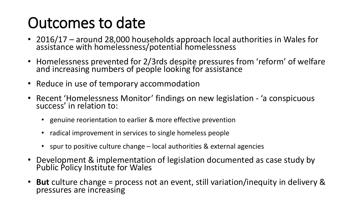### Outcomes to date

- 2016/17 around 28,000 households approach local authorities in Wales for assistance with homelessness/potential homelessness
- Homelessness prevented for 2/3rds despite pressures from 'reform' of welfare and increasing numbers of people looking for assistance
- Reduce in use of temporary accommodation
- Recent 'Homelessness Monitor' findings on new legislation 'a conspicuous success' in relation to:
	- genuine reorientation to earlier & more effective prevention
	- radical improvement in services to single homeless people
	- spur to positive culture change local authorities & external agencies
- Development & implementation of legislation documented as case study by Public Policy Institute for Wales
- **But** culture change = process not an event, still variation/inequity in delivery & pressures are increasing